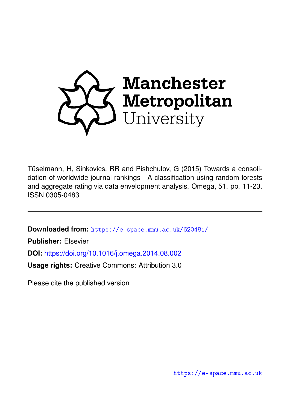

Tüselmann, H, Sinkovics, RR and Pishchulov, G (2015) Towards a consolidation of worldwide journal rankings - A classification using random forests and aggregate rating via data envelopment analysis. Omega, 51. pp. 11-23. ISSN 0305-0483

**Downloaded from:** <https://e-space.mmu.ac.uk/620481/>

**Publisher:** Elsevier

**DOI:** <https://doi.org/10.1016/j.omega.2014.08.002>

**Usage rights:** Creative Commons: Attribution 3.0

Please cite the published version

<https://e-space.mmu.ac.uk>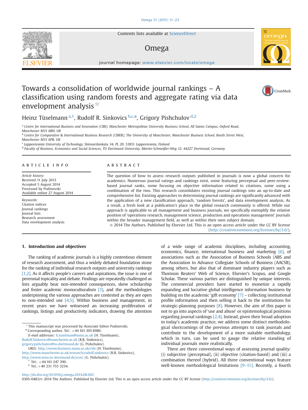Contents lists available at [ScienceDirect](www.sciencedirect.com/science/journal/03050483)

# Omega

journal homepage: <www.elsevier.com/locate/omega>

# Towards a consolidation of worldwide journal rankings – A classification using random forests and aggregate rating via data envelopment analysis  $\hat{X}$

Heinz Tüselmann<sup>a, 1</sup>, Rudolf R. Sinkovics <sup>b,c,\*</sup>, Grigory Pishchulov<sup>d,2</sup>

a Centre for International Business and Innovation (CIBI), Manchester Metropolitan University Business School, All Saints Campus, Oxford Road, Manchester M15 6BH, UK

<sup>b</sup> Centre for Comparative & International Business Research (CIBER), The University of Manchester, Manchester Business School, Booth Street West,

Manchester M15 6PB, UK

<sup>c</sup> Lappeenranta University of Technology, Skinnarilankatu 34, PL 20, 53851 Lappeenranta, Finland

<sup>d</sup> Faculty of Business, Economics and Social Sciences, TU Dortmund University, Martin-Schmeißer-Weg 12, 44227 Dortmund, Germany

#### article info

Article history: Received 11 July 2013 Accepted 5 August 2014 Processed by Podinovski Available online 27 August 2014

Keywords: Citation indices Journal rankings Journal lists Research assessment Data envelopment analysis

# abstract

The question of how to assess research outputs published in journals is now a global concern for academics. Numerous journal ratings and rankings exist, some featuring perceptual and peer-reviewbased journal ranks, some focusing on objective information related to citations, some using a combination of the two. This research consolidates existing journal rankings into an up-to-date and comprehensive list. Existing approaches to determining journal rankings are significantly advanced with the application of a new classification approach, 'random forests', and data envelopment analysis. As a result, a fresh look at a publication's place in the global research community is offered. While our approach is applicable to all management and business journals, we specifically exemplify the relative position of 'operations research, management science, production and operations management' journals within the broader management field, as well as within their own subject domain.

 $\odot$  2014 The Authors. Published by Elsevier Ltd. This is an open access article under the CC BY license (http://creativecommons.org/licenses/by/3.0/).

individual journals more realistically.

of a wide range of academic disciplines, including accounting, economics, finance, international business and marketing [\[6\],](#page-12-0) of associations such as the Association of Business Schools (ABS and the Association to Advance Collegiate Schools of Business (AACSB), among others, but also that of dominant industry players such as Thomson Reuters' Web of Science, Elsevier's Scopus, and Google Scholar. These various parties are distinguished by unique interests. The commercial providers have started to monetize a rapidly expanding and lucrative global intelligence information business by building on the academic 'gift economy' [\[7\]](#page-12-0) – collecting institutional profile information and then selling it back to the institutions for strategic-planning purposes [\[8\]](#page-12-0). However, the aim of this paper is not to go into aspects of 'use and abuse' or epistemological positions regarding journal rankings [\[2,4\].](#page-12-0) Instead, given their broad adoption in today's academic practice, we address some distinct methodological shortcomings of the previous attempts to rank journals and contribute to the development of a more suitable methodology, which in turn, can be used to gauge the relative standing of

There are three conventional ways of assessing journal quality: (i) subjective (perceptual), (ii) objective (citation-based) and (iii) a combination thereof (hybrid). All three conventional ways feature well-known methodological limitations [9-[11\].](#page-12-0) Recently, a fourth

# 1. Introduction and objectives

The ranking of academic journals is a highly contentious element of research assessment, and thus a widely debated foundation stone for the ranking of individual research outputs and university rankings [\[1,2\].](#page-12-0) As it affects people's careers and aspirations, the issue is one of perennial topicality and debate. Findings are repeatedly challenged as lists arguably bear non-intended consequences, skew scholarship and foster academic monoculturalism [\[3\],](#page-12-0) and the methodologies underpinning the various approaches are contested as they are open to non-intended use [\[4,5\]](#page-12-0). Within business and management, in recent years we have witnessed an increasing proliferation of rankings, listings and productivity indicators, drawing the attention

 $*$ This manuscript was processed by Associate Editor Podinovski. Corresponding author. Tel.:  $+44$  161 305 8980.

E-mail addresses: [h.tuselman@mmu.ac.uk](mailto:h.tuselman@mmu.ac.uk) (H. Tüselmann),

[Rudolf.Sinkovics@manchester.ac.uk](mailto:Rudolf.Sinkovics@manchester.ac.uk) (R.R. Sinkovics),

[grigory.pishchulov@tu-dortmund.de](mailto:grigory.pishchulov@tu-dortmund.de) (G. Pishchulov).

URLS: <http://www.business.mmu.ac.uk/cibi> (H. Tüselmann), <http://www.manchester.ac.uk/research/rudolf.sinkovics> (R.R. Sinkovics), <http://www.wiso.tu-dortmund.de/scm/> (G. Pishchulov).<br><sup>1</sup> Tel.: +44 161 247 390.

 $2$  Tel.: +49 231 755 3234.

<http://dx.doi.org/10.1016/j.omega.2014.08.002>

0305-0483/@ 2014 The Authors. Published by Elsevier Ltd. This is an open access article under the CC BY license (http://creativecommons.org/licenses/by/3.0/).





ا<br>CrossMark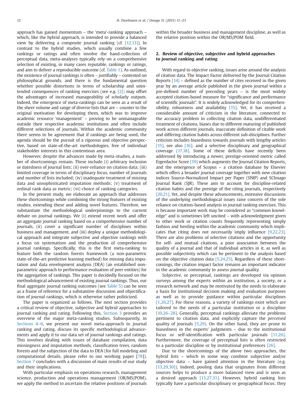approach has gained momentum – the 'meta'-ranking approach – which, like the hybrid approach, is intended to provide a balanced view by delivering a composite journal ranking (cf. [\[12,13\]](#page-12-0)). In contrast to the hybrid studies, which usually combine a few rankings or ratings and often involve the hand-collection of perceptual data, meta-analyses typically rely on a comprehensive selection of existing, in many cases reputable, rankings or ratings, and aim to deliver a reproducible outcome (cf. [Table 1\)](#page-3-0). As outlined, the existence of journal rankings is often – justifiably – contested on philosophical grounds, and there is the fundamental question whether possible distortions in terms of scholarship and unintended consequences of ranking exercises (see e.g. [\[2\]\)](#page-12-0) may offset the advantages of increased manageability of scholarly outputs. Indeed, the emergence of meta-rankings can be seen as a result of the sheer volume and range of diverse lists that are – counter to the original motivation for developing them, which was to improve academic resource 'management' – proving to be unmanageable outside their respective academic institutions and often include different selections of journals. Within the academic community there seems to be agreement that if rankings are being used, the agenda should be the pursuit of a rigorous and objective perspective, based on state-of-the-art methodologies, free of individual stakeholder interests in this contentious area.

However, despite the advances made by meta-studies, a number of shortcomings remain. These include (i) arbitrary inclusion or datedness of journal lists; (ii) over-reliance on citation data; (iii) limited coverage in terms of disciplinary focus, number of journals and number of lists included; (iv) inadequate treatment of missing data and unsophisticated imputation methods; (v) treatment of ordinal rank data as metric; (vi) choice of ranking categories.

In the present study, we elaborate an approach that addresses these shortcomings while combining the strong features of existing studies, extending these and adding novel features. Therefore, we substantiate the methodological underpinnings to the current debate on journal rankings. We (i) extend recent work and offer an aggregate journal ranking based on a comprehensive number of journals, (ii) cover a significant number of disciplines within business and management, and (iii) deploy a unique methodological approach and integrate subjective and objective rankings with a focus on systematism and the production of comprehensive journal rankings. Specifically, this is the first meta-ranking to feature both the random forests framework (a non-parametric state-of-the-art predictive learning method) for missing data imputation and data envelopment analysis (DEA) (an established nonparametric approach to performance evaluation of peer entities) for the aggregation of rankings. This paper is decidedly focused on the methodological advancement of existing journal rankings. Thus, our final aggregate journal ranking outcomes (see [Table 5\)](#page-9-0) can be seen as a frame of reference for a substantive discussion and objectification of journal rankings, which is otherwise rather politicized.

The paper is organized as follows. The next section provides a critical review of objective, subjective and hybrid approaches to journal ranking and rating. Following this, [Section 3](#page-4-0) provides an overview of the major meta-ranking studies. Subsequently, in [Sections 4](#page-7-0)–6, we present our novel meta-approach to journal ranking and rating, discuss its specific methodological advancements and apply it to our data set of journal rankings and ratings. This involves dealing with issues of database compilation, data missingness and imputation methods, classification trees, random forests and the subjection of the data to DEA (for full modeling and computational details, please refer to our working paper [\[78\]](#page-13-0)). [Section 7](#page-8-0) concludes with a discussion of main results of our study and their implications.

With particular emphasis on operations research, management science, production and operations management (OR/MS/POM), we apply the method to ascertain the relative positions of journals within the broader business and management discipline, as well as the relative position within the OR/MS/POM field.

# 2. Review of objective, subjective and hybrid approaches to journal ranking and rating

With regard to objective ranking, issues arise around the analysis of citation data. The Impact Factor delivered by the Journal Citation Reports [\[14\]](#page-12-0) – defined as the number of cites received in the given year by an average article published in the given journal within a pre-defined number of preceding years – is the most widely accepted citation-based measure for "significance and performance of scientific journals". It is widely acknowledged for its comprehensibility, robustness and availability [\[15\].](#page-12-0) Yet, it has received a considerable amount of criticism in the literature, connected to the accuracy problem in collecting citation data, undifferentiated treatment of citations, biases due to different maturing of published work across different journals, inaccurate definition of citable work and differing citation habits across different sub-disciplines. Further criticism includes biasedness towards journals with lengthy articles [\[15\]](#page-12-0), see also  $[16]$ ; and a selective disciplinary and geographical coverage [\[17,18\].](#page-12-0) Some of these deficits have recently been addressed by introducing a newer, prestige-oriented metric called Eigenfactor Score [\[19\]](#page-12-0) which augments the Journal Citation Reports, and the emergence of Scopus – a citation database by Elsevier which offers a broader journal coverage together with new citation indices Source-Normalized Impact per Paper (SNIP) and SCImago Journal Rank (SJR). These aim to account for discipline-related citation habits and the prestige of the citing journals, respectively [\[20,21\].](#page-12-0) Yet, and despite these advancements, extensive discussions of the underlying methodological issues raise concern of the sole reliance on citation-based analysis in journal ranking exercises. This is because important work may be considered as "common knowledge" and is sometimes left uncited – with acknowledgment given to other work or citation counts frequently representing simply fashion and herding within the academic community which implicates that citing does not necessarily imply influence [\[9,22,23\].](#page-12-0) There are also problems of selective citations and the opportunity for self- and mutual citations, a poor association between the quality of a journal and that of individual articles in it, as well as possible subjectivity which can be pertinent to the analysis based on the objective citation data [\[5,24,25\]](#page-12-0). Regardless of these shortcomings, the citation impact factor remains an important indicator in the academic community to assess journal quality.

Subjective, or perceptual, rankings are developed via opinion surveys among the experts within an institution, a society, or a research network and may be motivated by the needs to elaborate a basis for institutional decision making and evaluation purposes as well as to provide guidance within particular disciplines [\[1,26,27\].](#page-12-0) For these reasons, a variety of rankings exist which are tailored to the needs of a particular institution or a discipline [\[10,26](#page-12-0)–28]. Generally, perceptual rankings alleviate the problems pertinent to citation data, and explicitly capture the perceived quality of journals [\[5,29\].](#page-12-0) On the other hand, they are prone to biasedness in the experts' judgments – due to the institutional focus or self-identification with particular journals [\[11,26\].](#page-12-0) Furthermore, the coverage of perceptual lists is often restricted to a particular discipline or by institutional preferences [\[26\].](#page-12-0)

Due to the shortcomings of the above two approaches, the hybrid lists – which in some way combine subjective and/or objective data – have gained attention in the literature (e.g. [\[13,29,30\]](#page-12-0)). Indeed, pooling data that originates from different sources helps to produce a more balanced view and is seen as a desired approach [\[13,27,31\]](#page-12-0). However, hybrid ranking lists typically have a particular disciplinary or geographical focus; they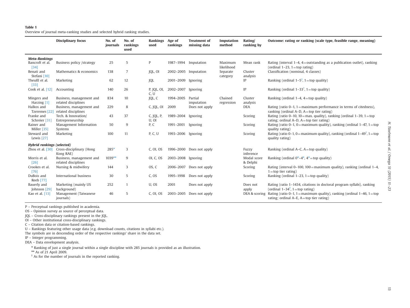# <span id="page-3-0"></span>Table 1

Overview of journal meta-ranking studies and selected hybrid ranking studies.

|                                        | <b>Disciplinary focus</b>                       | No. of<br>journals | No. of<br>rankings<br>used | Rankings<br>used    | Age of<br>rankings   | <b>Treatment of</b><br>missing data | Imputation<br>method  | Rating/<br>ranking by   | Outcome: rating or ranking (scale type, feasible range, meaning)                                                           |
|----------------------------------------|-------------------------------------------------|--------------------|----------------------------|---------------------|----------------------|-------------------------------------|-----------------------|-------------------------|----------------------------------------------------------------------------------------------------------------------------|
| <b>Meta-Rankings</b>                   |                                                 |                    |                            |                     |                      |                                     |                       |                         |                                                                                                                            |
| Bancroft et al.<br>$[34]$              | Business policy /strategy                       | 25                 | 5                          | P                   | 1987-1994 Imputation |                                     | Maximum<br>likelihood | Mean rank               | Rating (interval $1-4$ , $4=$ outstanding as a publication outlet), ranking<br>(ordinal $1-23$ , $1=$ top rating)          |
| Benati and<br>Stefani [10]             | Mathematics & economics                         | 138                | 7                          | JQL, OI             | 2002-2005 Imputation |                                     | Separate<br>category  | Cluster<br>analysis     | Classification (nominal, 4 classes)                                                                                        |
| Theußl et al.<br>$[33]$                | Marketing                                       | 62                 | 12                         | JQL                 | 2001-2009            | Ignoring                            |                       | IP                      | Ranking (ordinal $1-5^{\dagger}$ , $1 =$ top quality)                                                                      |
| Cook et al. [12]                       | Accounting                                      | 140                | 26                         | P, JQL, OI,<br>C, U | 2002-2007            | Ignoring                            |                       | IP                      | Ranking (ordinal $1-33^{\dagger}$ , $1 =$ top quality)                                                                     |
| Mingers and<br>Harzing [1]             | Business, management and<br>related disciplines | 834                | 10                         | JQL, C              | 1994-2005            | Partial<br>imputation               | Chained<br>regression | Cluster<br>analysis     | Ranking (ordinal $1-4$ , $4=$ top quality)                                                                                 |
| Halkos and<br>Tzeremes <sup>[22]</sup> | Business, management and<br>related disciplines | 229                | 8                          | C, JQL, OI          | 2009                 | Does not apply                      |                       | DEA                     | Rating (ratio 0–1, 1 = maximum performance in terms of citedness),<br>ranking (ordinal $A-D$ , $A=$ top tier rating)       |
| Franke and<br>Schreier [31]            | Tech. & Innovation/<br>Entrepreneurship         | 43                 | 37                         | C, JQL, P,<br>U, OI | 1989-2004            | Ignoring                            |                       | Scoring                 | Rating (ratio 0-10, 10=max. quality), ranking (ordinal $1-39$ , $1=$ top<br>rating; ordinal $A-D$ , $A = top$ tier rating) |
| Rainer and<br>Miller [35]              | Management Information<br>Systems               | 50                 | 9                          | P, C                | 1991-2001            | Ignoring                            |                       | Scoring                 | Rating (ratio 0–1, 0=maximum quality), ranking (ordinal $1-47$ , $1=$ top<br>quality rating)                               |
| Steward and<br>Lewis [27]              | Marketing                                       | 100                | 11                         | P, C, U             | 1993-2006            | Ignoring                            |                       | Scoring                 | Rating (ratio 0–1, 0 = maximum quality), ranking (ordinal $1-49^{\dagger}$ , 1 = top<br>quality rating)                    |
| <b>Hybrid rankings (selected)</b>      |                                                 |                    |                            |                     |                      |                                     |                       |                         |                                                                                                                            |
| Zhou et al. $[30]$                     | Cross-disciplinary (Hong<br>Kong RAE)           | $285*$             | 3                          | C, OI, OS           |                      | 1996-2000 Does not apply            |                       | Fuzzy<br>inference      | Ranking (ordinal $A-C$ , $A = top$ quality)                                                                                |
| Morris et al.<br>$[26]$                | Business, management and<br>related disciplines | $1039**$           | 9                          | OI, C, OS           | 2003-2008 Ignoring   |                                     |                       | Modal score<br>& Delphi | Ranking (ordinal $0^*$ –4 <sup>*</sup> , 4 <sup>*</sup> =top quality)                                                      |
| Crookes et al.<br>$[76]$               | Nursing & midwifery                             | 144                | 3                          | OS, C               | 2006-2007            | Does not apply                      |                       | Scoring                 | Rating (interval $0-100$ , $100 =$ maximum quality), ranking (ordinal $1-4$ ,<br>$1 =$ top tier rating)                    |
| DuBois and<br>Reeb [77]                | International business                          | 30                 | 5                          | C, OS               | 1995-1998            | Does not apply                      |                       | Scoring                 | Ranking (ordinal $1-23$ , $1=$ top quality)                                                                                |
| Bauerly and<br>Johnson [29]            | Marketing (mainly US<br>background)             | 252                |                            | U, OS               | 2001                 | Does not apply                      |                       | Does not<br>apply       | Rating (ratio 1-1434, citations in doctoral program syllabi), ranking<br>(ordinal $1-34^{\dagger}$ , $1 =$ top rating)     |
| Kao et al. [13]                        | Management (Taiwanese<br>journals)              | 46                 | 5                          | C, OI, OS           | 2003-2005            | Does not apply                      |                       | DEA & scoring           | Rating (ratio 0-1, 1=maximum quality), ranking (ordinal 1-46, 1=top<br>rating; ordinal $A-E$ , $A = top$ tier rating)      |

P – Perceptual rankings published in academia.

OS – Opinion survey as source of perceptual data.

JQL – Cross-disciplinary rankings present in the JQL.

OI – Other institutional cross-disciplinary rankings.

C – Citation data or citation-based rankings.

U – Rankings featuring other usage data (e.g. download counts, citations in syllabi etc.).

The symbols are in descending order of the respective rankings' share in the data set.

IP – Integer programming.

DEA – Data envelopment analysis.

n Ranking of just <sup>a</sup> single journal within <sup>a</sup> single discipline with 285 journals is provided as an illustration.

\*\* As of 21 April 2009.

† As for the number of journals in the reported ranking.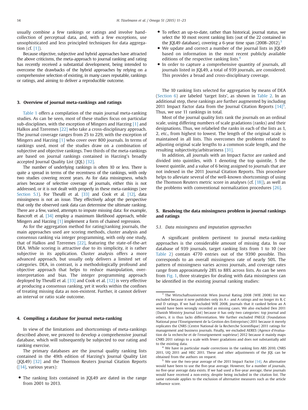<span id="page-4-0"></span>usually combine a few rankings or ratings and involve handcollection of perceptual data, and, with a few exceptions, use unsophisticated and less principled techniques for data aggregation (cf. [\[1\]\)](#page-12-0).

Because objective, subjective and hybrid approaches have attracted the above criticisms, the meta-approach to journal ranking and rating has recently received a substantial development, being intended to overcome the drawbacks of the hybrid approaches by relying on a comprehensive selection of existing, in many cases reputable, rankings or ratings, and aiming to deliver a reproducible outcome.

### 3. Overview of journal meta-rankings and ratings

[Table 1](#page-3-0) offers a compilation of the main journal meta-ranking studies. As can be seen, most of these studies focus on particular sub-disciplines, with the exception of Mingers and Harzing [\[1\]](#page-12-0) and Halkos and Tzeremes [\[22\]](#page-12-0) who take a cross-disciplinary approach. The journal coverage ranges from 25 to 229, with the exception of Mingers and Harzing [\[1\]](#page-12-0) who cover over 800 journals. In terms of rankings used, most of the studies draw on a combination of subjective and objective rankings. Two thirds of the meta-rankings are based on journal rankings contained in Harzing's broadly accepted Journal Quality List (JQL) [\[32\]](#page-12-0).

The number of underlying rankings is often 10 or less. There is quite a spread in terms of the recentness of the rankings, with only two studies covering recent years. As for data missingness, which arises because of selective coverage of journals, either this is not addressed, or it is not dealt with properly in these meta-rankings (see Section 5.1). For Theußl et al. [\[33\]](#page-12-0) and Cook et al. [\[12\],](#page-12-0) data missingness is not an issue. They effectively adopt the perspective that only the observed rank data can determine the ultimate ranking. There are a few, varied, attempts to impute missing data: for example, Bancroft et al. [\[34\]](#page-12-0) employ a maximum likelihood approach, while Mingers and Harzing <a>[\[1\]](#page-12-0)</a> implement a form of chained regression.

As for the aggregation method for rating/ranking journals, the main approaches used are scoring methods, cluster analysis and consensus ranking via integer programming, with only one study, that of Halkos and Tzeremes [\[22\]](#page-12-0), featuring the state-of-the-art DEA. While scoring is attractive due to its simplicity, it is rather subjective in its application. Cluster analysis offers a more advanced approach, but usually only delivers a limited set of categories. DEA, in contrast, is a methodologically profound and objective approach that helps to reduce manipulation, overinterpretation and bias. The integer programming approach deployed by Theußl et al. [\[33\]](#page-12-0) and Cook et al. [\[12\]](#page-12-0) is very effective at producing a consensus ranking, yet it works within the confines of treating missing data as non-existent. Further, it cannot deliver an interval or ratio scale outcome.

#### 4. Compiling a database for journal meta-ranking

In view of the limitations and shortcomings of meta-rankings described above, we proceed to develop a comprehensive journal database, which will subsequently be subjected to our rating and ranking exercise.

The primary databases are the journal quality ranking lists contained in the 49th edition of Harzing's Journal Quality List (JQL49) [\[32\]](#page-12-0) and the Thomson Reuters Journal Citation Reports  $([14]$ , various years):

• The ranking lists contained in JQL49 are dated in the range<br>from 2001 to 2013 from 2001 to 2013.

- To reflect an up-to-date, rather than historical, journal status, we select the 10 most recent ranking lists (out of the 22 contained in select the 10 most recent ranking lists (out of the 22 contained in the JQL49 database), covering a 6-year time span  $(2008-2012)^3$
- We update and correct a number of the journal lists in JQL49<br>hased on information in the most recent publicly available based on information in the most recent publicly available editions of the respective ranking lists.<sup>4</sup>
- In order to capture a comprehensive quantity of journals, all journals listed in JQL49, a total of 939 journals, are considered. This provides a broad and cross-disciplinary coverage.

The 10 ranking lists selected for aggregation by means of DEA ([Section 6\)](#page-7-0) are labeled 'target lists', as shown in [Table 2](#page-5-0). In an additional step, these rankings are further augmented by including 2011 Impact Factor data from the Journal Citation Reports  $[14]^{5}$  $[14]^{5}$ . Thus, we use 11 rankings in total.

Most of the journal quality lists rank the journals on an ordinal scale, using differing numbers of scale gradations (ranks) and their designations. Thus, we relabeled the ranks in each of the lists as 1, 2, etc., from highest to lowest. The length of the original scale is maintained in all lists. This overcomes the problems related to adjusting original scale lengths to a common scale length, and the resulting subjectivity/arbitrariness [\[31\]](#page-12-0).

In addition, all journals with an Impact Factor are ranked and divided into quintiles, with 1 denoting the top quintile, 5 the lowest quintile, and a value of 6 being assigned to journals that are not indexed in the 2011 Journal Citation Reports. This procedure helps to alleviate several of the well-known shortcomings of using the Thomson Reuters metric score in analyses (cf.  $[18]$ ), as well as the problems with conventional normalization procedures [\[26\]](#page-12-0).

# 5. Resolving the data missingness problem in journal rankings and ratings

#### 5.1. Data missingness and imputation approaches

A significant problem pertinent to journal meta-ranking approaches is the considerable amount of missing data. In our database of 939 journals, target ranking lists from 1 to 10 (see [Table 2](#page-5-0)) contain 4770 entries out of the 9390 possible. This corresponds to an overall missingness rate of nearly 50%. The pattern of missingness varies across journals, and coverage rates range from approximately 28% to 88% across lists. As can be seen from [Fig. 1](#page-5-0), three strategies for dealing with data missingness can be identified in the existing journal ranking studies:

<sup>&</sup>lt;sup>3</sup> The Wirtschaftsuniversität Wien Journal Rating 2008 (WIE 2008) list was excluded because it now publishes only its  $A<sub>+</sub>$  and A ratings and no longer its B, C and D ratings. If we had included WIE 2008, journals that it ranked below an A would have been wrongly recorded as missing cases. We also excluded Den 2011 (Danish Ministry Journal List) because it has only two categories: top journal and others, it is thus lacks differentiation. We further excluded FNEGE (Foundation National pour l'Enseignement de la Gestion des Entreprises) 2011 because it merely replicates the CNRS (Centre National de la Recherche Scientifique) 2011 ratings for management and business journals. Finally, we excluded AERES (Agence d'évaluation de la recherche et de l'enseignement supérieur) 2012 because it mainly maps CNRS 2011 ratings to a scale with fewer gradations and does not substantially add to the existing data.

<sup>&</sup>lt;sup>4</sup> We have in particular made corrections in the ranking lists ABS 2010, CNRS 2011, UQ 2011 and HEC 2011. These and other adjustments of the JQL can be obtained from the authors on request.

 $5$  We use the two-year average of the 2011 Impact Factor  $[14]$ . An alternative would have been to use the five-year average. However, for a number of journals, no five-year average data exists. If we had used a five-year average, these journals would have received a non-entry, despite being included in the citation list. The same rationale applies to the exclusion of alternative measures such as the article influence score.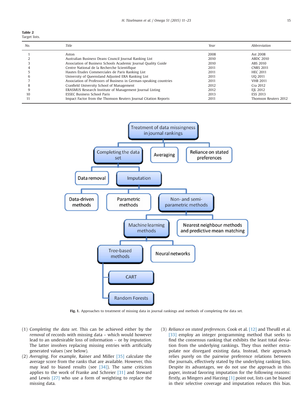<span id="page-5-0"></span>

| Table 2       |  |
|---------------|--|
| Target lists. |  |

| No. | <b>Title</b>                                                       | Year | Abbreviation         |
|-----|--------------------------------------------------------------------|------|----------------------|
|     | Aston                                                              | 2008 | Ast 2008             |
|     | Australian Business Deans Council Journal Ranking List             | 2010 | <b>ABDC 2010</b>     |
|     | Association of Business Schools Academic Journal Quality Guide     | 2010 | ABS 2010             |
|     | Centre National de la Recherche Scientifique                       | 2011 | <b>CNRS 2011</b>     |
|     | Hautes Études Commerciales de Paris Ranking List                   | 2011 | <b>HEC 2011</b>      |
|     | University of Queensland Adjusted ERA Ranking List                 | 2011 | <b>UQ 2011</b>       |
|     | Association of Professors of Business in German-speaking countries | 2011 | <b>VHB 2011</b>      |
|     | Cranfield University School of Management                          | 2012 | Cra 2012             |
|     | ERASMUS Research Institute of Management Journal Listing           | 2012 | EIL 2012             |
| 10  | <b>ESSEC Business School Paris</b>                                 | 2013 | <b>ESS 2013</b>      |
|     | Impact Factor from the Thomson Reuters Journal Citation Reports    | 2011 | Thomson Reuters 2012 |



Fig. 1. Approaches to treatment of missing data in journal rankings and methods of completing the data set.

- (1) Completing the data set. This can be achieved either by the removal of records with missing data – which would however lead to an undesirable loss of information – or by imputation. The latter involves replacing missing entries with artificially generated values (see below).
- (2) Averaging. For example, Rainer and Miller [\[35\]](#page-12-0) calculate the average score from the ranks that are available. However, this may lead to biased results (see [\[34\]](#page-12-0)). The same criticism applies to the work of Franke and Schreier [\[31\]](#page-12-0) and Steward and Lewis [\[27\]](#page-12-0) who use a form of weighting to replace the missing data.
- (3) Reliance on stated preferences. Cook et al. [\[12\]](#page-12-0) and Theußl et al. [\[33\]](#page-12-0) employ an integer programming method that seeks to find the consensus ranking that exhibits the least total deviation from the underlying rankings. They thus neither extrapolate nor disregard existing data. Instead, their approach relies purely on the pairwise preference relations between the journals, effectively stated by the underlying ranking lists. Despite its advantages, we do not use the approach in this paper, instead favoring imputation for the following reasons: firstly, as Mingers and Harzing [\[1\]](#page-12-0) point out, lists can be biased in their selective coverage and imputation reduces this bias.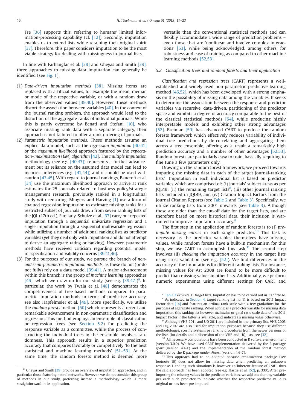<span id="page-6-0"></span>Tse [\[36\]](#page-12-0) supports this, referring to humans' limited information-processing capability (cf. [\[12\]](#page-12-0)). Secondly, imputation enables us to extend lists while retaining their original spirit [\[37\].](#page-12-0) Therefore, this paper considers imputation to be the most viable strategy for dealing with missingness in journal lists.

In line with Farhangfar et al. [\[38\]](#page-12-0) and Gheyas and Smith [\[39\],](#page-12-0) three approaches to missing data imputation can generally be identified (see [Fig. 1\)](#page-5-0):

- (1) Data-driven imputation methods [\[38\].](#page-12-0) Missing items are replaced with artificial values, for example the mean, median or mode of the respective variable, or with a random draw from the observed values [\[39,40\]](#page-12-0). However, these methods distort the association between variables [\[40\]](#page-12-0). In the context of the journal ranking problem, the approach would lead to the distortion of the aggregate ranks of individual journals. While this is partly overcome by Benati and Stefani [\[10\],](#page-12-0) who associate missing rank data with a separate category, their approach is not tailored to offer a rank ordering of journals.
- (2) Parametric imputation methods. These methods assume an explicit data model, such as the regression imputation  $[40,41]$ or the maximum likelihood approach featured by the expectation–maximization (EM) algorithm [\[42\]](#page-12-0). The multiple imputation methodology (see e.g. [\[40,43\]](#page-12-0)) represents a further advancement but its reliance on the assumed data model can lead to incorrect inferences (e.g. [\[41,44\]\)](#page-12-0) and it should be used with caution [\[43,45\].](#page-12-0) With regard to journal rankings, Bancroft et al. [\[34\]](#page-12-0) use the maximum likelihood approach to arrive at rank estimates for 25 journals related to business policy/strategic management research, previously ranked in a longitudinal study with censoring. Mingers and Harzing [\[1\]](#page-12-0) use a form of chained regression imputation to estimate missing ranks for a restricted subset of journals drawn from seven ranking lists of the JQL (17th ed.). Similarly, Schulze et al. [\[37\]](#page-12-0) carry out repeated imputation through a sequential univariate regression and a single imputation through a sequential multivariate regression, while utilizing a number of additional ranking lists as predictor variables (yet they deal only with imputation and do not attempt to derive an aggregate rating or ranking). However, parametric methods have received criticism regarding potential model misspecification and validity concerns [\[39,41,46\]](#page-12-0).
- (3) For the purposes of our study, we pursue the branch of nonand semi-parametric imputation methods, as these do not (or do not fully) rely on a data model [\[39,41\].](#page-12-0) A major advancement within this branch is the group of machine learning approaches  $[46]$ , which we draw on for our study (see e.g.  $[39,47]$ )<sup>6</sup>. In particular, the work by Twala et al. [\[48\]](#page-12-0) demonstrates the competitiveness of tree-based methods compared to parametric imputation methods in terms of predictive accuracy, see also Hapfelmeier et al. [\[49\].](#page-12-0) More specifically, we utilize the random forests method [\[50\]](#page-12-0) which represents a recent and remarkable advancement in non-parametric classification and regression. This method employs an ensemble of classification or regression trees (see Section 5.2) for predicting the response variable as a committee, while the process of constructing the individual trees in the ensemble involves randomness. This approach results in a superior prediction accuracy that compares favorably or competitively 'to the best statistical and machine learning methods' [51–[53\].](#page-12-0) At the same time, the random forests method is deemed more

versatile than the conventional statistical methods and can flexibly accommodate a wide range of prediction problems – even those that are 'nonlinear and involve complex interactions' [\[53\],](#page-12-0) while being acknowledged, among others, for robustness and ease of training as compared to other machine learning methods [\[52,53\]](#page-12-0).

### 5.2. Classification trees and random forests and their application

Classification and regression trees (CART) represents a wellestablished and widely used non-parametric predictive learning method [\[46,52\],](#page-12-0) which has been developed with a strong emphasis on the possibility of missing data among the variables. It seeks to determine the association between the response and predictor variables via recursive, data-driven, partitioning of the predictor space and exhibits a degree of accuracy comparable to the best of the classical statistical methods [\[54\],](#page-12-0) while producing highly interpretable models and exhibiting other strong advantages [\[52\]](#page-12-0). Breiman [\[50\]](#page-12-0) has advanced CART to produce the random forests framework which effectively reduces variability of individual tree predictions by de-correlating and aggregating them across a tree ensemble, offering as a result a remarkably high prediction accuracy and a number of other advantages [\[52,53\].](#page-12-0) Random forests are particularly easy to train, basically requiring to fine tune a few parameters only.

Drawing on the random forest framework, we proceed towards imputing the missing data in each of the target journal-ranking lists<sup>7</sup>. Imputation in each individual list is based on predictor variables which are comprised of: (i) journals' subject areas as per JQL49; (ii) the remaining target lists<sup>8</sup>, (iii) other journal ranking lists included in JQL49, and (iv) Citation Impact Factors from the Journal Citation Reports (see [Table 2](#page-5-0) and [Table 3](#page-7-0)). Specifically, we utilize ranking lists from 2001 onwards (see [Table 3](#page-7-0)). Although these are older than the cut-off date for the target lists, and are therefore based on more historical data, their inclusion is warranted to improve imputation accuracy.<sup>9</sup>

The first step in the application of random forests is to (i) preimpute missing entries in each single predictor.<sup>10</sup> This task is necessary as the predictor variables themselves have missing values. While random forests have a built-in mechanism for this step, we use CART to accomplish this task.<sup>11</sup> The second step involves (ii) checking the imputation accuracy in the target lists using cross-validation (see e.g. [\[52\]](#page-12-0)). We find differences in the accuracy of the imputations for different ranking lists. For instance, missing values for Ast 2008 are found to be more difficult to predict than missing values in other lists. Additionally, we perform numeric experiments using different settings for CART and

<sup>10</sup> All necessary computations have been conducted in R software environment (version 3.0.0). We have used CART implementation delivered by the R package rpart (version 4.1-1) and the implementation of the random forest method delivered by the R package randomForest (version 4.6-7).

<sup>6</sup> Gheyas and Smith [\[39\]](#page-12-0) provide an overview of imputation approaches, and in particular those featuring neural networks. However, we do not consider this group of methods in our study, preferring instead a methodology which is more straightforward in its application.

<sup>7</sup> [Table 2](#page-5-0) exhibits 11 target lists. Imputation has to be carried out in 10 of these. <sup>8</sup> As indicated in [Section 4](#page-4-0), target ranking list no. 11 is based on 2011 Impact Factor data [\[14\]](#page-12-0) and features an ordinal rank scale with a few gradations for the purposes of aggregate ranking. When acting as a predictor variable for missing data imputation, this ranking list however maintains original ratio scale data of the 2011 Impact Factor if the latter is available, and indicates a missing value otherwise.

<sup>9</sup> Although VHB 2011 and UQ 2011 are included in the primary list, VHB 2003 and UQ 2007 are also used for imputation purposes because they use different methodologies, scoring systems or ranking procedures from the newer versions of the lists [for details and a discussion of the VHB and UQ lists, see [\[32\]](#page-12-0)].

<sup>&</sup>lt;sup>11</sup> This approach had to be adopted because randomForest package (see footnote 10) does not allow for missing data when predicting an unknown response. Handling such situations is however an inherent feature of CART, thus the said approach has been adopted (see e.g. Hastie et al. [\[52\]](#page-12-0), p. 333). After preimputing the missing values in the predictor variables, we add one dummy variable per each such predictor to indicate whether the respective predictor value is original or has been pre-imputed.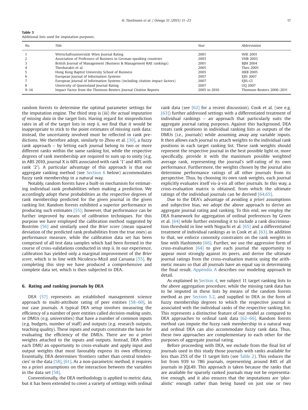<span id="page-7-0"></span>

| Table 3 |  |                                                |  |
|---------|--|------------------------------------------------|--|
|         |  | Additional lists used for imputation purposes. |  |

| No.      | Title                                                                       | Year         | Abbreviation              |
|----------|-----------------------------------------------------------------------------|--------------|---------------------------|
|          | Wirtschaftsuniversität Wien Journal Rating                                  | 2001         | <b>WIE 2001</b>           |
|          | Association of Professors of Business in German-speaking countries          | 2003         | <b>VHB 2003</b>           |
|          | British Journal of Management (Business & Management RAE rankings)          | 2001         | <b>BJM 2004</b>           |
|          | Theoharakis et al.                                                          | 2005         | Theo 2005                 |
|          | Hong Kong Baptist University School of Business                             | 2005         | <b>HKB 2005</b>           |
| 6        | European Journal of Information Systems                                     | 2007         | <b>EJIS 2007</b>          |
|          | European Journal of Information Systems (including citation impact factors) | 2007         | EIIS-CI                   |
| 8        | University of Queensland Journal Rating                                     | 2007         | UO 2007                   |
| $9 - 14$ | Impact Factor from the Thomson Reuters Journal Citation Reports             | 2005 to 2010 | Thomson Reuters 2006-2011 |

random forests to determine the optimal parameter settings for the imputation engine. The third step is (iii) the actual imputation of missing data in the target lists. Having regard for misprediction rates in all of the target lists in step *ii*, we find that it would be inappropriate to stick to the point estimates of missing rank data; instead, the uncertainty involved must be reflected in rank predictions. We therefore adopt, similarly to Zhou et al. [\[30\],](#page-12-0) a fuzzy rank approach – by letting each journal belong to two or more different ranks within the same ranking list, while the respective degrees of rank membership are required to sum up to unity (e.g. in ABS 2010, journal X is 60% associated with rank '1' and 40% with rank '2'). A particular advantage of this approach is that our aggregate ranking method (see Section 6 below) accommodates fuzzy rank membership in a natural way.

Notably, random forests have a built-in mechanism for estimating individual rank probabilities when making a prediction. We accordingly adopt these probabilities as the respective degrees of rank membership predicted for the given journal in the given ranking list. Random forests exhibited a superior performance in producing such estimates [\[55\];](#page-12-0) however, that performance can be further improved by means of calibration techniques. For this purpose we have employed the calibration method suggested by Boström [\[56\]](#page-12-0) and similarly used the Brier score (mean squared deviation of the predicted rank probabilities from the true ones) as performance measure, while the calibration data set has been comprised of all test data samples which had been formed in the course of cross-validations conducted in step ii. In our experience, calibration has yielded only a marginal improvement of the Brier score, which is in line with Niculescu-Mizil and Caruana [\[55\]](#page-12-0). By completing this step we have produced a comprehensive and complete data set, which is then subjected to DEA.

#### 6. Rating and ranking journals by DEA

DEA [\[57\]](#page-12-0) represents an established management science approach to multi-attribute rating of peer entities [\[58](#page-12-0)–60], in our case journals. A typical DEA setup involves measuring the efficiency of a number of peer entities called decision-making units, or DMUs (e.g. universities) that have a number of common inputs (e.g. budgets, number of staff) and outputs (e.g. research outputs, teaching quality). These inputs and outputs constitute the basis for evaluating the efficiency of the DMUs. There are no a priori weights attached to the inputs and outputs. Instead, DEA offers each DMU an opportunity to cross-evaluate and apply input and output weights that most favorably express its own efficiency. Essentially, DEA determines 'frontiers rather than central tendencies' in the data [\[58\]](#page-12-0), [\[61\]](#page-12-0). As a non-parametric method, it requires no a priori assumptions on the interaction between the variables in the data set [\[58\]](#page-12-0).

Conventionally, the DEA methodology is applied to metric data, but it has been extended to cover a variety of settings with ordinal rank data (see [\[62\]](#page-12-0) for a recent discussion). Cook et al. (see e.g. [\[63\]\)](#page-12-0) further addressed settings with a differentiated treatment of individual rankings – an approach that particularly suits the aggregate journal rating purposes. Against this background, DEA treats rank positions in individual ranking lists as outputs of the DMUs (i.e., journals) while assuming away any variable inputs. It then allows each journal to attach weights to the individual rank positions in each target ranking list. These rank weights should represent the respective journal in the best possible light or, more specifically, provide it with the maximum possible weighted average rank, representing the journal's self-rating of its own performance. Furthermore, the weights chosen by the journal also determine performance ratings of all other journals from its perspective. Thus, by choosing its own rank weights, each journal explicitly evaluates itself vis-à-vis all other journals. In this way, a cross-evaluation matrix is obtained, from which the ultimate ratings of the individual journals can be derived [\[64,65\]](#page-12-0).

Due to the DEA's advantage of avoiding a priori assumptions and subjective bias, we adopt the above approach to derive an aggregate journal rating and ranking. To this end, we employ the DEA framework for aggregation of ordinal preferences by Green et al. [\[64\]](#page-12-0) while further extending it to include a rank discrimination threshold in line with Noguchi et al. [\[65\]](#page-12-0) and a differentiated treatment of individual rankings as in Cook et al. [\[63\]](#page-12-0). In addition to that, we enforce convexity constraints on the rank weights in line with Hashimoto [\[66\].](#page-12-0) Further, we use the aggressive form of cross-evaluation [\[64\]](#page-12-0) to give each journal the opportunity to appear most strongly against its peers, and derive the ultimate journal ratings from the cross-evaluation matrix using the arithmetic means so that all journals have an equal say in determining the final result. [Appendix A](#page-11-0) describes our modeling approach in detail.

As explained in [Section 4](#page-4-0), we subject 11 target ranking lists to the above aggregation procedure, while the missing rank data has to be imputed in these lists by means of the random forests method as per [Section 5.2](#page-6-0), and supplied to DEA in the form of fuzzy membership degrees to which the respective journal is associated with the individual ranks of the respective ranking list. This represents a distinctive feature of our model as compared to DEA approaches to ordinal rank data [62–[66\]](#page-12-0). Random forests method can impute the fuzzy rank membership in a natural way and ordinal DEA can also accommodate fuzzy rank data. Thus, these two approaches are complementary to each other for the purposes of aggregate journal rating.

Before proceeding with DEA, we exclude from the final list of journals used in this study those journals with ranks available for less than 25% of the 11 target lists (see [Table 2\)](#page-5-0). This reduces the list from 939 to 786 journals, representing around 84% of all journals in JQL49. This approach is taken because the ranks that are available for sparsely ranked journals may not be representative enough, and it also ensures that the imputations are 'pluralistic' enough rather than being based on just one or two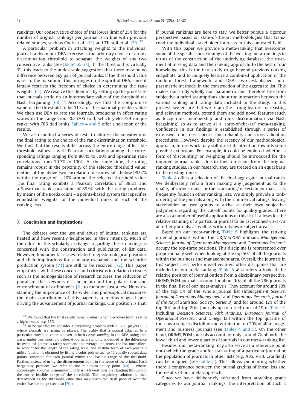<span id="page-8-0"></span>rankings. Our conservative choice of this lower limit of 25% for the number of original rankings per journal is in line with previous related studies, such as Cook et al. [\[12\]](#page-12-0) and Theuβl et al. [\[33\]](#page-12-0). $^{12}$ 

A particular problem in attaching weights to the individual journal ranks in our DEA exercise is the arbitrary choice of a rank discrimination threshold to separate the weights of any two consecutive ranks (see [\[62,64,65,67\]\)](#page-12-0). If the threshold is virtually '0', this leads to the undesirable suggestion that there may be no difference between any pair of journal ranks. If the threshold value is set to the maximum, this infringes on the spirit of DEA, since it largely restricts the freedom of choice in determining the rank weights [\[64\]](#page-12-0). We resolve this dilemma by setting up the process so that journals settle on an intermediate value of the threshold via Nash bargaining  $[68]$ <sup>13</sup>. Accordingly, we find the compromise value of the threshold to be 31.3% of the maximal possible value. We then use DEA to rate the journals, producing in effect rating scores in the range from 0.55705 to 1, which yield 729 unique ranks, with 786 tied ranks. [Tables 4 and 5](#page-9-0) offer a selection of the results.

We also conduct a series of tests to address the sensitivity of the final rating to the choice of the rank discrimination threshold. We find that the results differ across the entire range of feasible threshold values – with Pearson correlations among the corresponding ratings ranging from 80.4% to 100% and Spearman rank correlations from 79.7% to 100%. At the same time, the rating remains robust in the proximity of the selected threshold value; neither of the above two correlation measures falls below 99.97% within the range of  $\pm 10\%$  around the selected threshold value. The final rating exhibits a Pearson correlation of 88.2% and a Spearman rank correlation of 89.9% with the rating produced by means of the Borda count – a points-based system that specifies equidistant weights for the individual ranks in each of the ranking lists.

#### 7. Conclusion and implications

The debates over the use and abuse of journal rankings are heated and have recently heightened in their intensity. Much of the effort in the scholarly exchange regarding these rankings is concerned with the construction and publication of list data. However, fundamental issues related to epistemological positions and their implications for scholarly exchange and the scientific production system [\[71\]](#page-13-0) are still to be resolved [\[72\].](#page-13-0) This paper empathizes with these concerns and criticisms in relation to issues such as the homogenization of research cultures, the reduction of pluralism, the skewness of scholarship and the polarization and entrenchment of orthodoxies [\[2\],](#page-12-0) to mention just a few. Notwithstanding the importance of the wider and philosophical discourse, the main contribution of this paper is a methodological one, driving the advancement of journal rankings. Our position is that, if journal rankings are here to stay, we better pursue a rigorous perspective based on state-of-the-art methodologies that transcend the individual stakeholder interests in this contested field.

With this paper we provide a meta-ranking that overcomes some of the specific shortcomings of the existing meta-rankings in terms of the construction of the underlying database, the treatment of missing data and the ranking approach. To the best of our knowledge, this is the first study to go beyond previous ranking snapshots, and to uniquely feature a combined application of the random forest framework and DEA, two established nonparametric methods, in the construction of the aggregate list. This makes our study wholly non-parametric and therefore free from subjective a priori assumptions about the interaction between the various ranking and rating data included in the study. In this process, we ensure that we retain the strong features of existing and relevant methods, extend them and add novel features (such as fuzzy rank membership and rank discrimination via Nash bargaining) so as to arrive at a 'state-of-the-art' meta-ranking. Confidence in our findings is established through a series of extensive robustness checks, and reliability and cross-validation procedures. However, despite the recency of our methodological approach, future work may still direct its attention towards some possible extensions. For example, it could be explored whether a form of 'discounting' or weighting should be introduced for the imputed journal ranks, due to their omission from the original ranking studies. In our research, they are treated on an equal basis to the existing ranks.

[Table 4](#page-9-0) offers a selection of the final aggregate journal ranks. We deliberately refrain from making any judgement as to the quality of various ranks, or the 'star-rating' of certain journals, as is frequently found in other ranking lists. We simply provide a rankordering of the journals along with their numerical ratings, leaving stakeholder or user groups to arrive at their own subjective judgments regarding the cut-off points for quality grades. There are also a number of useful applications of this list. It allows for the relative standing of a particular journal to be ascertained vis-à-vis all other journals, as well as within its own subject area.

Based on our meta-ranking, [Table 5](#page-9-0) highlights the ranking order of journals within the OR/MS/POM domain. Management Science, Journal of Operations Management and Operations Research occupy the top-three positions. This discipline is represented over proportionally well when looking at the top 50% of all the journals within the business and management area. Overall, the journals in this subject area perform well vis-à-vis other disciplines that are included in our meta-ranking. [Table 5](#page-9-0) also offers a look at the relative position of journal outlets from a disciplinary perspective. OR/MS/POM journals account for about 10% of all the 786 journals in the final list of our meta-analysis. They account for around 10% of the top 5% of the whole journal list (Management Science, Journal of Operations Management and Operations Research, Journal of the Royal Statistical Society: Series B) and for around 12% of the top 10% and top 20%. Journals up to a tied rank of 19 in [Table 5,](#page-9-0) including Decision Sciences, Risk Analysis, European Journal of Operational Research and Omega fall within the top quartile of their own subject discipline and within the top 20% of all management and business journals (see [Tables 4 and 5\)](#page-9-0). On the other hand, OR/MS/POM journals account for only around 7% of both, the lower third and lower quartile of journals in our meta-ranking list.

Besides, our meta-ranking may also serve as a reference point onto which the grade and/or star-rating of a particular journal or the population of journals in other lists (e.g. ABS, VHB, Cranfield) can be mapped (see [Table 5](#page-9-0)). This allows pinpointing whether there is congruence between the journal grading of those lists and the results of our meta-approach.

Since we have deliberately refrained from attaching grade categories to our journal rankings, the interpretation of such a

 $12$  We found that the final results remain robust when this lower limit is set to a higher value, e.g. 35%.

<sup>&</sup>lt;sup>13</sup> To be specific, we consider a bargaining problem with  $n=786$  players [\[68\]](#page-12-0) where journals are acting as players. The utility that a journal attaches to a particular threshold value is taken to be its own standing in the DEA rating that arises under this threshold value. A journal's standing is defined as the difference between this journal's rating score and the average one across the list, normalized to account for the length of the rating scale. The analytic form of each journal's utility function is obtained by fitting a cubic polynomial to 10 equally spaced data points computed for each journal within the feasible range of the threshold. Further, instead of using the disagreement point in the sense of the original Nash bargaining problem, we refer to the minimum utility point [\[69\]](#page-12-0) – where, accordingly, a journal's minimum utility is its lowest possible standing throughout the entire feasible range of the threshold. The bargaining solution is then determined as the threshold value that maximizes the Nash product over the entire feasible range (see also [\[70\]](#page-12-0)).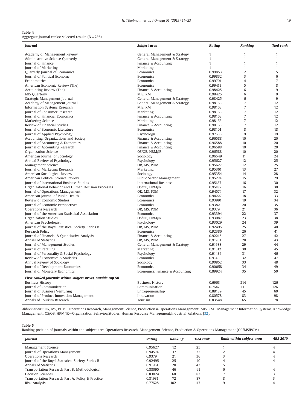#### <span id="page-9-0"></span>Table 4

l,

Aggregate journal ranks: selected results  $(N=786)$ .

| Journal                                                      | Subject area                      | Rating             | <b>Ranking</b>      | <b>Tied rank</b> |
|--------------------------------------------------------------|-----------------------------------|--------------------|---------------------|------------------|
| Academy of Management Review                                 | General Management & Strategy     | $\mathbf{1}$       | $\mathbf{1}$        | $\mathbf{1}$     |
| Administrative Science Quarterly                             | General Management & Strategy     | $\mathbf{1}$       | $\mathbf{1}$        | $\overline{1}$   |
| <b>Iournal of Finance</b>                                    | Finance & Accounting              | 1                  | 1                   | $\mathbf{1}$     |
| Journal of Marketing                                         | Marketing                         | $\mathbf{1}$       | 1                   | $\mathbf{1}$     |
| Quarterly Journal of Economics                               | Economics                         | 0.99853            | $\overline{2}$      | 5                |
| Journal of Political Economy                                 | Economics                         | 0.99832            | 3                   | 6                |
| Econometrica                                                 | Economics                         | 0.99701            | $\overline{4}$      | 7                |
| American Economic Review (The)                               | Economics                         | 0.99411            | 5                   | 8                |
| Accounting Review (The)                                      | Finance & Accounting              | 0.98425            | 6                   | 9                |
| MIS Quarterly                                                | MIS, KM                           | 0.98425            | 6                   | 9                |
| Strategic Management Journal                                 | General Management & Strategy     | 0.98425            | 6                   | 9                |
| Academy of Management Journal                                | General Management & Strategy     | 0.98163            | 7<br>$\overline{7}$ | 12               |
| Information Systems Research<br>Journal of Consumer Research | MIS. KM                           | 0.98163<br>0.98163 | $\overline{7}$      | 12<br>12         |
| Journal of Financial Economics                               | Marketing                         | 0.98163            | $\overline{7}$      | 12               |
| Marketing Science                                            | Finance & Accounting<br>Marketing | 0.98163            | $\overline{7}$      | 12               |
| Review of Financial Studies                                  | Finance & Accounting              | 0.98163            | $\overline{7}$      | 12               |
| Journal of Economic Literature                               | Economics                         | 0.98101            | 8                   | 18               |
| Journal of Applied Psychology                                | Psychology                        | 0.97685            | 9                   | 19               |
| Accounting, Organizations and Society                        | Finance & Accounting              | 0.96588            | 10                  | 20               |
| Journal of Accounting & Economics                            | Finance & Accounting              | 0.96588            | 10                  | 20               |
| Journal of Accounting Research                               | Finance & Accounting              | 0.96588            | 10                  | 20               |
| Organization Science                                         | OS/OB, HRM/IR                     | 0.96588            | 10                  | 20               |
| American Journal of Sociology                                | Sociology                         | 0.96549            | 11                  | 24               |
| Annual Review of Psychology                                  | Psychology                        | 0.95627            | 12                  | 25               |
| Management Science                                           | OR, MS, POM                       | 0.95627            | 12                  | 25               |
| Journal of Marketing Research                                | Marketing                         | 0.95361            | 13                  | 27               |
| American Sociological Review                                 | Sociology                         | 0.95354            | 14                  | 28               |
| American Political Science Review                            | Public Sector Management          | 0.95274            | 15                  | 29               |
| Journal of International Business Studies                    | <b>International Business</b>     | 0.95187            | 16                  | 30               |
| Organizational Behavior and Human Decision Processes         | OS/OB, HRM/IR                     | 0.95187            | 16                  | 30               |
| Journal of Operations Management                             | OR, MS, POM                       | 0.94574            | 17                  | 32               |
| American Journal of Public Health                            | Economics                         | 0.94227            | 18                  | 33               |
| Review of Economic Studies                                   | Economics                         | 0.93991            | 19                  | 34               |
| Journal of Economic Perspectives                             | Economics                         | 0.9382             | 20                  | 35               |
| <b>Operations Research</b>                                   | OR, MS, POM                       | 0.9379             | 21                  | 36               |
| Journal of the American Statistical Association              | Economics                         | 0.93394            | 22                  | 37               |
| Organization Studies                                         | OS/OB, HRM/IR                     | 0.93087            | 23                  | 38               |
| American Psychologist                                        | Psychology                        | 0.93029            | 24                  | 39               |
| Journal of the Royal Statistical Society, Series B           | OR, MS, POM                       | 0.92495            | 25                  | 40               |
| Research Policy                                              | Economics                         | 0.92386            | 26                  | 41               |
| Journal of Financial & Quantitative Analysis                 | Finance & Accounting              | 0.92215            | 27                  | 42               |
| Annals of Statistics                                         | OR, MS, POM                       | 0.91961            | 28                  | 43               |
| Journal of Management Studies                                | General Management & Strategy     | 0.91688            | 29                  | 44               |
| Journal of Retailing                                         | Marketing                         | 0.91512            | 30                  | 45               |
| Journal of Personality & Social Psychology                   | Psychology                        | 0.91436            | 31                  | 46               |
| Review of Economics & Statistics                             | Economics                         | 0.91409            | 32                  | 47               |
| Annual Review of Sociology                                   | Sociology<br>Economics            | 0.90852<br>0.90058 | 33<br>34            | 48<br>49         |
| Journal of Development Economics                             | Economics; Finance & Accounting   | 0.89924            | 35                  | 50               |
| Journal of Monetary Economics                                |                                   |                    |                     |                  |
| First ranked journals within subject areas, outside top 50   |                                   |                    |                     |                  |
| <b>Business History</b>                                      | <b>Business History</b>           | 0.6963             | 214                 | 126              |
| Journal of Communication                                     | Communication                     | 0.7647             | 111                 | 126              |
| Journal of Business Venturing                                | Entrepreneurship                  | 0.88189            | 45                  | 60               |
| Journal of Product Innovation Management                     | Innovation                        | 0.80578            | 83                  | 98               |
| Annals of Tourism Research                                   | Tourism                           | 0.83548            | 65                  | 78               |

Abbreviations: OR, MS, POM=Operations Research, Management Science, Production & Operations Management; MIS, KM=Management Information Systems, Knowledge Management; OS/OB, HRM/IR=Organization Behavior/Studies, Human Resource Management/Industrial Relations [\[32\]](#page-12-0).

# Table 5

l,

Ranking position of journals within the subject area Operations Research, Management Science, Production & Operations Management (OR/MS/POM).

| Journal                                            | Rating  | Ranking | <b>Tied rank</b> | Rank within subject area | <b>ABS 2010</b> |
|----------------------------------------------------|---------|---------|------------------|--------------------------|-----------------|
| Management Science                                 | 0.95627 | 12      | 25               |                          |                 |
| Journal of Operations Management                   | 0.94574 | 17      | 32               |                          |                 |
| Operations Research                                | 0.9379  | 21      | 36               |                          |                 |
| Journal of the Royal Statistical Society, Series B | 0.92495 | 25      | 40               |                          |                 |
| Annals of Statistics                               | 0.91961 | 28      | 43               |                          |                 |
| Transportation Research Part B: Methodological     | 0.88095 | 46      | 61               |                          |                 |
| Decision Sciences                                  | 0.83024 | 68      | 83               |                          |                 |
| Transportation Research Part A: Policy & Practice  | 0.81931 | 72      | 87               | 8                        |                 |
| Risk Analysis                                      | 0.77628 | 102     | 117              |                          |                 |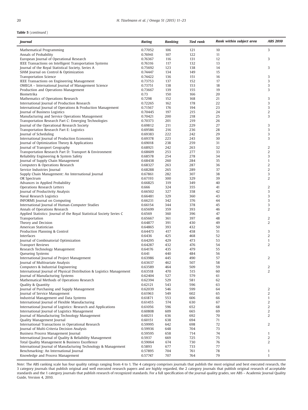# Table 5 (continued )

| Journal                                                                          | Rating             | <b>Ranking</b> | <b>Tied rank</b> | Rank within subject area | <b>ABS 2010</b>   |
|----------------------------------------------------------------------------------|--------------------|----------------|------------------|--------------------------|-------------------|
| Mathematical Programming                                                         | 0.77052            | 106            | 121              | 10                       | 3                 |
| Annals of Probability                                                            | 0.76941            | 107            | 122              | 11                       |                   |
| European Journal of Operational Research                                         | 0.76367            | 116            | 131              | 12                       | 3                 |
| IEEE Transactions on Intelligent Transportation Systems                          | 0.76316            | 117            | 132              | 13                       |                   |
| Journal of the Royal Statistical Society, Series A                               | 0.75692            | 123            | 138              | 14                       | 3                 |
| SIAM Journal on Control & Optimization<br><b>Transportation Science</b>          | 0.74447<br>0.74422 | 134<br>136     | 149<br>151       | 15<br>16                 | 3                 |
| IEEE Transactions on Engineering Management                                      | 0.73753            | 137            | 152              | 17                       | 3                 |
| OMEGA - International Journal of Management Science                              | 0.73751            | 138            | 153              | 18                       | 3                 |
| Production and Operations Management                                             | 0.73667            | 139            | 155              | 19                       | 3                 |
| <b>Biometrika</b>                                                                | 0.73               | 150            | 166              | 20                       |                   |
| Mathematics of Operations Research                                               | 0.7298             | 152            | 168              | 21                       | 3                 |
| International Journal of Production Research                                     | 0.72265            | 162            | 178              | 22                       | 3                 |
| International Journal of Operations & Production Management                      | 0.71567            | 176            | 194              | 23                       | 3                 |
| Journal of Business Logistics<br>Manufacturing and Service Operations Management | 0.70445<br>0.70421 | 197<br>200     | 215<br>218       | 24<br>25                 | 2<br>3            |
| Transportation Research Part C: Emerging Technologies                            | 0.70373            | 201            | 219              | 26                       |                   |
| Journal of the Operational Research Society                                      | 0.69812            | 211            | 229              | 27                       | 3                 |
| Transportation Research Part E: Logistics                                        | 0.69586            | 216            | 236              | 28                       | 3                 |
| Journal of Scheduling                                                            | 0.69383            | 222            | 242              | 29                       | 3                 |
| International Journal of Production Economics                                    | 0.69378            | 223            | 243              | 30                       | 3                 |
| Journal of Optimization Theory & Applications                                    | 0.69018            | 238            | 259              | 31                       |                   |
| Journal of Transport Geography                                                   | 0.68921            | 242            | 263              | 32                       | $\overline{c}$    |
| Transportation Research Part D: Transport & Environment                          | 0.68609            | 253            | 277              | 33                       | $\overline{c}$    |
| Reliability Engineering & System Safety                                          | 0.68578<br>0.68438 | 254<br>260     | 278<br>284       | 34<br>35                 | 3<br>$\mathbf{1}$ |
| Journal of Supply Chain Management<br>Computers & Operations Research            | 0.68327            | 263            | 287              | 36                       | 2                 |
| Service Industries Journal                                                       | 0.68288            | 265            | 289              | 37                       | $\overline{c}$    |
| Supply Chain Management: An International Journal                                | 0.67861            | 282            | 307              | 38                       | 3                 |
| OR Spectrum                                                                      | 0.67193            | 300            | 329              | 39                       | 2                 |
| Advances in Applied Probability                                                  | 0.66825            | 319            | 349              | 40                       |                   |
| Operations Research Letters                                                      | 0.666              | 324            | 355              | 41                       | $\overline{2}$    |
| Journal of Productivity Analysis                                                 | 0.66502            | 327            | 358              | 42                       | 3                 |
| Naval Research Logistics                                                         | 0.66481<br>0.66231 | 329            | 360<br>376       | 43<br>44                 | 3<br>3            |
| INFORMS Journal on Computing<br>International Journal of Human-Computer Studies  | 0.66154            | 342<br>344     | 378              | 45                       | 3                 |
| Annals of Operations Research                                                    | 0.65699            | 359            | 393              | 46                       | 2                 |
| Applied Statistics: Journal of the Royal Statistical Society Series C            | 0.6569             | 360            | 396              | 47                       |                   |
| Transportation                                                                   | 0.65667            | 361            | 397              | 48                       | $\overline{c}$    |
| Theory and Decision                                                              | 0.64877            | 391            | 430              | 49                       | 2                 |
| American Statistician                                                            | 0.64865            | 393            | 432              | 50                       |                   |
| Production Planning & Control                                                    | 0.64473            | 417            | 458              | 51                       | 3                 |
| Interfaces<br>Journal of Combinatorial Optimization                              | 0.6436             | 425            | 468<br>473       | 52                       | 2                 |
| <b>Transport Reviews</b>                                                         | 0.64295<br>0.64287 | 429<br>432     | 476              | 53<br>54                 | $\mathbf{1}$<br>2 |
| Research Technology Management                                                   | 0.64176            | 435            | 479              | 55                       |                   |
| Queueing Systems                                                                 | 0.641              | 440            | 484              | 56                       |                   |
| International Journal of Project Management                                      | 0.63986            | 445            | 490              | 57                       | 2                 |
| Journal of Multivariate Analysis                                                 | 0.63637            | 462            | 507              | 58                       |                   |
| Computers & Industrial Engineering                                               | 0.63589            | 464            | 509              | 59                       | 2                 |
| International Journal of Physical Distribution & Logistics Management            | 0.63518            | 470            | 515              | 60                       | 2                 |
| Journal of Manufacturing Systems<br>Mathematical Methods of Operations Research  | 0.62404<br>0.62394 | 527<br>529     | 579<br>581       | 61<br>62                 |                   |
| Quality & Quantity                                                               | 0.62121            | 543            | 596              | 63                       |                   |
| Journal of Purchasing and Supply Management                                      | 0.62039            | 546            | 599              | 64                       | $\boldsymbol{2}$  |
| Journal of Service Management                                                    | 0.61963            | 549            | 602              | 65                       | $\sqrt{2}$        |
| Industrial Management and Data Systems                                           | 0.61871            | 553            | 606              | 66                       | $\mathbf{1}$      |
| International Journal of Flexible Manufacturing                                  | 0.61455            | 574            | 630              | 67                       | $\overline{c}$    |
| International Journal of Logistics: Research and Applications                    | 0.61056            | 596            | 652              | 68                       | $\sqrt{2}$        |
| International Journal of Logistics Management                                    | 0.60808            | 609            | 665              | 69                       | 2                 |
| Journal of Manufacturing Technology Management                                   | 0.60211            | 636            | 692              | 70                       | 2                 |
| Quality Management Journal<br>International Transactions in Operational Research | 0.60151<br>0.59995 | 638<br>642     | 694<br>698       | 71<br>72                 | $\overline{c}$    |
| Journal of Multi-Criteria Decision Analysis                                      | 0.59936            | 648            | 704              | 73                       |                   |
| Business Process Management Journal                                              | 0.59595            | 658            | 714              | 74                       | $\mathbf{1}$      |
| International Journal of Quality & Reliability Management                        | 0.5937             | 669            | 725              | 75                       | $\overline{c}$    |
| Total Quality Management & Business Excellence                                   | 0.59064            | 674            | 730              | 76                       | 2                 |
| International Journal of Manufacturing Technology & Management                   | 0.5893             | 677            | 733              | 77                       |                   |
| Benchmarking: An International Journal                                           | 0.57895            | 704            | 761              | 78                       | $\mathbf{1}$      |
| Knowledge and Process Management                                                 | 0.57747            | 707            | 764              | 79                       | $\mathbf{1}$      |

Note: The ABS ranking scale has four quality ratings ranging from 4 to 1. The 4 category comprises journals that publish the most original and best executed research, the 3 category journals that publish original and well executed research papers and are highly regarded, the 2 category journals that publish original research of acceptable standards and the 1 category journals that publish research of recognized standards. For a full specification of the journal quality grades, see ABS – Academic Journal Quality Guide, Version 4, 2010.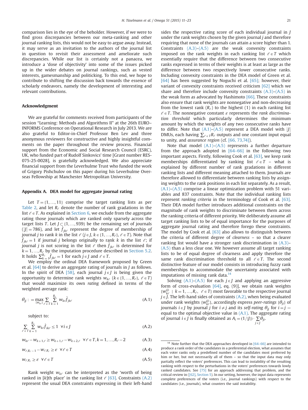<span id="page-11-0"></span>comparison lies in the eye of the beholder. However, if we were to find gross discrepancies between our meta-ranking and other journal ranking lists, this would not be easy to argue away. Instead, it may serve as an invitation to the authors of the journal list in question to revisit their assessment and ameliorate such discrepancies. While our list is certainly not a panacea, we introduce a 'dose of objectivity' into some of the issues picked up in the wider debates on journal rankings, such as vested interests, gamesmanship and politicking. To this end, we hope to contribute to shifting the discussion back towards the essence of scholarly endeavors, namely the development of interesting and relevant contributions.

#### Acknowledgment

We are grateful for comments received from participants of the session "Learning: Methods and Algorithms II" at the 26th EURO– INFORMS Conference on Operational Research in July 2013. We are also grateful to Editor-in-Chief Professor Ben Lev and three anonymous reviewers for constructive and highly insightful comments on the paper throughout the review process. Financial support from the Economic and Social Research Council (ESRC), UK, who funded part of Rudolf Sinkovics' time [Grant number RES-075-25-0028], is gratefully acknowledged. We also appreciate financial support from the Leverhulme Trust who funded the work of Grigory Pishchulov on this paper during his Leverhulme Overseas Fellowship at Manchester Metropolitan University.

# Appendix A. DEA model for aggregate journal rating

Let  $T = \{1, ..., 11\}$  comprise the target ranking lists as per [Table 2](#page-5-0), and let  $R_{\ell}$  denote the number of rank gradations in the list  $\ell \in T$ . As explained in [Section 6,](#page-7-0) we exclude from the aggregate rating those journals which are ranked only sparsely across the target lists T. Let  $J \subset \{1, ..., 939\}$  be the remaining set of journals ( $|J|$  = 786), and let  $\hat{f}_{jk\ell}$  represent the degree of membership of interval i to rank k in the list  $\ell$  (i.e. I. k c 11 = R.)  $\ell \in T$ ). Note that journal *j* to rank *k* in the list  $\ell$  ( $j \in J$ ,  $k \in \{1, ..., R_{\ell}\}, \ell \in T$ ). Note that  $f_{ik\ell} = 1$  if journal j belongs originally to rank k in the list  $\ell$ ; if journal *j* is not scoring in the list  $\ell$  then  $\hat{f}_{jk\ell}$  is determined for  $k = 1, ..., R_{\ell}$  by the imputation procedure described in [Section 5.2.](#page-6-0)<br>It holds  $\sum_{k=1}^{R_{\ell}} \hat{f}_{jk\ell} = 1$  for each  $j \in J$  and  $\ell \in T$ .<br>We employ the ordinal DEA framework proposed by Green

We employ the ordinal DEA framework proposed by Green et al. [\[64\]](#page-12-0) to derive an aggregate rating of journals in J as follows. In the spirit of DEA [\[58\],](#page-12-0) each journal  $j \in J$  is being given the opportunity to determine rank weights  $w_{k\ell}$  ( $k \in \{1, ..., R_{\ell}\}, \ell \in T$ ) that would maximize its own rating defined in terms of the weighted average rank:

$$
\theta_{jj} : = \max_{\{w_{k\epsilon}\}} \sum_{\ell \in T} \sum_{k=1}^{R_{\ell}} w_{k\ell} \hat{f}_{jk\ell} \tag{A.1}
$$

subject to:

$$
\sum_{e' \in T} \sum_{k=1}^{R_e} w_{k\ell} \hat{f}_{ik\ell} \le 1 \quad \forall i \in J
$$
\n(A.2)

$$
w_{k\ell} - w_{k+1,\ell} \ge w_{k+1,\ell} - w_{k+2,\ell} \quad \forall \ell \in T, k = 1, ..., R_{\ell} - 2 \tag{A.3}
$$

 $w_{\ell,R_{\ell}-1} - w_{\ell,R_{\ell}} \geq \varepsilon \ \ \forall \ell \in T$  (A.4)

$$
w_{\mathcal{E},R_{\mathcal{E}}} \geq \varepsilon \quad \forall \mathcal{E} \in T \tag{A.5}
$$

Rank weight  $w_{k\ell}$  can be interpreted as the 'worth of being ranked in [k]th place' in the ranking list  $\ell$  [\[63\]](#page-12-0). Constraints (A.2) represent the usual DEA constraints expressing in their left-hand sides the respective rating score of each individual journal in J under the rank weights chosen by the given journal j and therefore requiring that none of the journals can attain a score higher than 1. Constraints (A.3)–(A.5) are the weak convexity constraints imposed on the rank weights in each ranking list  $\ell \in T$  which essentially require that the difference between two consecutive ranks expressed in terms of their weights is at least as large as the difference between two respectively lower consecutive ranks. Including convexity constraints in the DEA model of Green et al. [\[64\]](#page-12-0) has been suggested by Noguchi et al. [\[65\]](#page-12-0); however, their variant of convexity constraints received criticism [\[62\]](#page-12-0) which we share and therefore include convexity constraints (A.3)–(A.5) in the weak form as advocated by Hashimoto [\[66\].](#page-12-0) These constraints also ensure that rank weights are nonnegative and non-decreasing from the lowest rank  $(R_\ell)$  to the highest (1) in each ranking list  $\ell \in T$ . The nonnegative constant  $\varepsilon$  represents the rank discrimination threshold which particularly determines the minimum amount by which the weights of any two consecutive ranks have to differ. Note that  $(A.1)$ – $(A.5)$  represent a DEA model with  $|J|$ DMUs, each having  $\sum_{\ell \in T} R_{\ell}$  outputs and one constant input equal to unity, and assurance region (cf. [\[66, 73,74\]\)](#page-13-0).

Note that model  $(A.1)$ – $(A.5)$  represents a further departure from the approach adopted in [\[64](#page-12-0)–66] in the following two important aspects. Firstly, following Cook et al. [\[63\],](#page-12-0) we keep rank memberships differentiated by ranking list  $e \in T$  – what is explained by different number of rank gradations in different ranking lists and different meaning attached to them. Journals are therefore allowed to differentiate between ranking lists by assigning weights to the rank positions in each list separately. As a result, (A.1)–(A.5) comprise a linear optimization problem with 51 variables and 837 constraints. Note that the individual ranking lists represent ranking criteria in the terminology of Cook et al. [\[63\].](#page-12-0) Their DEA model further introduces additional constraints on the magnitude of rank weights to discriminate between them across the ranking criteria of different priority. We deliberately assume all target ranking lists to be of equal importance for the purposes of aggregate journal rating and therefore forego these constraints. The model by Cook et al. [\[63\]](#page-12-0) also allows to distinguish between the criteria of different degree of clearness – so that a clearer ranking list would have a stronger rank discrimination in (A.3)– (A.5) than a less clear one. We however assume all target ranking lists to be of equal degree of clearness and apply therefore the same rank discrimination threshold to all  $\ell \in T$ . The second distinctive feature of our model consists in introducing fuzzy rank memberships to accommodate the uncertainty associated with imputations of missing rank data.<sup>14</sup>

Solving  $(A.1)$ – $(A.5)$  for each  $j \in J$  and applying an aggressive form of cross-evaluation  $[64]$ , eq.  $(9)$ ], we obtain rank weights  $\{w_{k\ell}^{(j)} \mid k = 1, ..., R_{\ell}, \ell \in T\}$  most favorable to the respective journal  $i \in I$ . The left-hand sides of constraints (A.2) when being evaluated  $j \in \tilde{J}$ . The left-hand sides of constraints (A.2), when being evaluated under rank weights  $\{w_{k\ell}^{(j)}\}$ , accordingly express peer-ratings  $\{\theta_{ji}\}$  of ignum linear point is the self-rating  $\theta_{ij}$ , for  $i = i$ journals  $i \in J$  by journal j for  $i \neq j$  and its self-rating  $\theta_{ij}$  for  $i = j$  equal to the optimal objective value in  $(A.1)$ . The aggregate rating of journal  $i \in J$  is finally obtained as  $A_i = (1/|J|) \cdot \sum_{j \in J} \theta_{ji}$ .

Note further that the DEA approaches developed in  $[64-66]$  $[64-66]$  are intended to produce a rank order of the candidates in a preferential election, what assumes that each voter ranks only a predefined number of the candidates most preferred by him or her, but not necessarily all of them – so that the input data may only partially reflect the voters' preferences. This can lead to instability of the resulting ranking with respect to the perturbations in the voters' preferences towards lowly ranked candidates. See [\[75\]](#page-13-0) for an approach addressing that problem, and the critical review in ([\[62\]](#page-12-0), [Section 5\)](#page-4-0). In our setting, however, the input data represents complete preferences of the voters (i.e., journal rankings) with respect to the candidates (i.e., journals), what counters the said instability.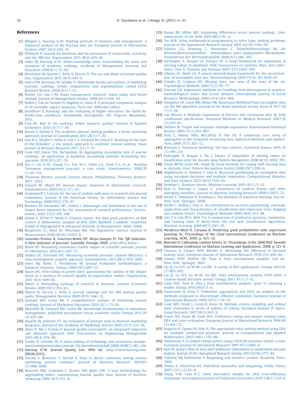#### <span id="page-12-0"></span>References

- [1] [Mingers J, Harzing A-W. Ranking journals in business and management: a](http://refhub.elsevier.com/S0305-0483(14)00096-6/sbref1) [statistical analysis of the Harzing data set. European Journal of Information](http://refhub.elsevier.com/S0305-0483(14)00096-6/sbref1) [Systems 2007;16\(4\):303](http://refhub.elsevier.com/S0305-0483(14)00096-6/sbref1)–16.
- [2] [Willmott H. Journal list fetishism and the perversion of scholarship: reactivity](http://refhub.elsevier.com/S0305-0483(14)00096-6/sbref2) [and the ABS list. Organization 2011;18\(4\):429](http://refhub.elsevier.com/S0305-0483(14)00096-6/sbref2)–42.
- [3] [Adler NJ, Harzing A-W. When knowledge wins: transcending the sense and](http://refhub.elsevier.com/S0305-0483(14)00096-6/sbref3) [nonsense of academic rankings. Academy of Management Learning and](http://refhub.elsevier.com/S0305-0483(14)00096-6/sbref3) [Education 2009;8\(1\):72](http://refhub.elsevier.com/S0305-0483(14)00096-6/sbref3)–95.
- [4] [Rowlinson M, Harvey C, Kelly A, Morris H. The use and abuse of journal quality](http://refhub.elsevier.com/S0305-0483(14)00096-6/sbref4) [lists. Organization 2011;18\(4\):443](http://refhub.elsevier.com/S0305-0483(14)00096-6/sbref4)–6.
- [5] [Hult GTM, Reimann M, Schilke O. Worldwide faculty perceptions of marketing](http://refhub.elsevier.com/S0305-0483(14)00096-6/sbref5) [journals: rankings, trends, comparisons, and segmentations. Global EDGE](http://refhub.elsevier.com/S0305-0483(14)00096-6/sbref5) [Business Review 2009;3\(3\):1](http://refhub.elsevier.com/S0305-0483(14)00096-6/sbref5)–23.
- [6] [Bruton GD, Lau C-M. Asian management research: status today and future](http://refhub.elsevier.com/S0305-0483(14)00096-6/sbref6) [outlook. Journal of Management Studies 2008;45\(3\):636](http://refhub.elsevier.com/S0305-0483(14)00096-6/sbref6)–59.
- [7] [Bollen J, Van de Sompel H, Hagberg A, Chute R. A principal component analysis](http://refhub.elsevier.com/S0305-0483(14)00096-6/sbref7) of 39 scientifi[c impact measures. PLoS One 2009;4\(6\):e6022.](http://refhub.elsevier.com/S0305-0483(14)00096-6/sbref7)
- [8] [Hazelkorn E. Rankings and the reshaping of higher education: the battle for](http://refhub.elsevier.com/S0305-0483(14)00096-6/sbref8) [world-class excellence. Houndmills, Basingstoke, UK: Palgrave Macmillan;](http://refhub.elsevier.com/S0305-0483(14)00096-6/sbref8) [2011.](http://refhub.elsevier.com/S0305-0483(14)00096-6/sbref8)
- [9] Frey BS, Rost K. Do rankings refl[ect research quality? Journal of Applied](http://refhub.elsevier.com/S0305-0483(14)00096-6/sbref9) [Economics 2010;13\(1\):1](http://refhub.elsevier.com/S0305-0483(14)00096-6/sbref9)–38.
- [10] [Benati S, Stefani S. The academic journal ranking problem: a fuzzy-clustering](http://refhub.elsevier.com/S0305-0483(14)00096-6/sbref10) [approach. Journal of Classi](http://refhub.elsevier.com/S0305-0483(14)00096-6/sbref10)fication 2011;28(1):7–20.
- [11] [Fam K-S, Shukla P, Sinha A, Luk C-L, Parackal M, Chai JCY. Rankings in the eyes](http://refhub.elsevier.com/S0305-0483(14)00096-6/sbref11) [of the beholder: a vox populi approach to academic journal ranking. Asian](http://refhub.elsevier.com/S0305-0483(14)00096-6/sbref11) [Journal of Business Research 2011;1\(1\):1](http://refhub.elsevier.com/S0305-0483(14)00096-6/sbref11)–17.
- [12] [Cook WD, Raviv TAL, Richardson AJ. Aggregating incomplete lists of journal](http://refhub.elsevier.com/S0305-0483(14)00096-6/sbref12) [rankings: an application to academic accounting journals. Accounting Per](http://refhub.elsevier.com/S0305-0483(14)00096-6/sbref12)[spectives 2010;9\(3\):217](http://refhub.elsevier.com/S0305-0483(14)00096-6/sbref12)–35.
- [13] [Kao C, Lin H-W, Chung S-L, Tsai W-C, Chiou J-S, Chen Y-L, et al. Ranking](http://refhub.elsevier.com/S0305-0483(14)00096-6/sbref13) [Taiwanese management journals: a case study. Scientometrics 2008;76](http://refhub.elsevier.com/S0305-0483(14)00096-6/sbref13) [\(1\):95](http://refhub.elsevier.com/S0305-0483(14)00096-6/sbref13)–115.
- [14] [Thomson Reuters. Journal citation reports. Philadelphia: Thomson Reuters;](http://refhub.elsevier.com/S0305-0483(14)00096-6/sbref14) [2011; 2012.](http://refhub.elsevier.com/S0305-0483(14)00096-6/sbref14)
- [15] Glä[nzel W, Moed HF. Journal impact measures in bibliometric research.](http://refhub.elsevier.com/S0305-0483(14)00096-6/sbref15) [Scientometrics 2002;53\(2\):171](http://refhub.elsevier.com/S0305-0483(14)00096-6/sbref15)–93.
- [16] [Leydesdorff L. Caveats for the use of citation indicators in research and journal](http://refhub.elsevier.com/S0305-0483(14)00096-6/sbref16) [evaluations. Journal of the American Society for Information Science and](http://refhub.elsevier.com/S0305-0483(14)00096-6/sbref16) [Technology 2008;59\(2\):278](http://refhub.elsevier.com/S0305-0483(14)00096-6/sbref16)–87.
- [17] [Bordons M, Fernández MT, Gómez I. Advantages and limitations in the use of](http://refhub.elsevier.com/S0305-0483(14)00096-6/sbref17) [impact factor measures for the assessment of research performance. Sciento](http://refhub.elsevier.com/S0305-0483(14)00096-6/sbref17)[metrics 2002;53\(2\):195](http://refhub.elsevier.com/S0305-0483(14)00096-6/sbref17)–206.
- [18] [Mahdi S, D'Este P, Neely A. Citation counts: Are they good predictors of RAE](http://refhub.elsevier.com/S0305-0483(14)00096-6/sbref18) [scores? A bibliometric analysis of RAE 2001 Bedford: Cran](http://refhub.elsevier.com/S0305-0483(14)00096-6/sbref18)field: University [School of Management](http://refhub.elsevier.com/S0305-0483(14)00096-6/sbref18) & [Advanced Institute of Management \(AIM\); 2008.](http://refhub.elsevier.com/S0305-0483(14)00096-6/sbref18)
- [19] [Bergstrom CT, West JD, Wiseman MA. The Eigenfactor metrics. Journal of](http://refhub.elsevier.com/S0305-0483(14)00096-6/sbref19) [Neuroscience 2008;28\(45\):11433](http://refhub.elsevier.com/S0305-0483(14)00096-6/sbref19)–4.
- [20] González-Pereira B, Guerrero-Boteb VP, Moya-Anegón Fl. The SJR Indicator: A New Indicator of Journals' Scientific Prestige 2009. [arXiv:0912.4141v1.](arXiv:0912.4141v1)
- [21] [Moed HF. Measuring contextual citation impact of scienti](http://refhub.elsevier.com/S0305-0483(14)00096-6/sbref21)fic journals. Journal [of Informetrics 2010;4\(3\):265](http://refhub.elsevier.com/S0305-0483(14)00096-6/sbref21)–77.
- [22] [Halkos GE, Tzeremes NG. Measuring economic journals' citation ef](http://refhub.elsevier.com/S0305-0483(14)00096-6/sbref22)ficiency: a [data envelopment analysis approach. Scientometrics 2011;88\(3\):979](http://refhub.elsevier.com/S0305-0483(14)00096-6/sbref22)–1001.
- [23] [Jones MJ, Brinn T, Pendlebury M. Journal evaluation methodologies: a](http://refhub.elsevier.com/S0305-0483(14)00096-6/sbref23) [balanced response. Omega 1996;24\(5\):607](http://refhub.elsevier.com/S0305-0483(14)00096-6/sbref23)–12.
- [24] [Baum JAC. Free-riding on power laws: questioning the validity of the impact](http://refhub.elsevier.com/S0305-0483(14)00096-6/sbref24) [factor as a measure of research quality in organization studies. Organization](http://refhub.elsevier.com/S0305-0483(14)00096-6/sbref24) [2011;18\(4\):449](http://refhub.elsevier.com/S0305-0483(14)00096-6/sbref24)–66.
- [25] [Albers S. Misleading rankings of research in business. German Economic](http://refhub.elsevier.com/S0305-0483(14)00096-6/sbref25) [Review 2009;10\(3\):352](http://refhub.elsevier.com/S0305-0483(14)00096-6/sbref25)–63.
- [26] [Morris H, Harvey C, Kelly A. Journal rankings and the ABS journal quality](http://refhub.elsevier.com/S0305-0483(14)00096-6/sbref26) [guide. Management Decision 2009;47\(9\):1441](http://refhub.elsevier.com/S0305-0483(14)00096-6/sbref26)–51.
- [27] [Steward MD, Lewis BR. A comprehensive analysis of marketing journal](http://refhub.elsevier.com/S0305-0483(14)00096-6/sbref27) [rankings. Journal of Marketing Education 2010;32\(1\):75](http://refhub.elsevier.com/S0305-0483(14)00096-6/sbref27)–92.
- [28] [Meredith JR, Steward MD, Lewis BR. Knowledge dissemination in operations](http://refhub.elsevier.com/S0305-0483(14)00096-6/sbref28) [management: published perceptions versus academic reality. Omega 2011;39](http://refhub.elsevier.com/S0305-0483(14)00096-6/sbref28) [\(4\):435](http://refhub.elsevier.com/S0305-0483(14)00096-6/sbref28)–46.
- [29] [Bauerly RJ, Johnson DT. An evaluation of journals used in doctoral marketing](http://refhub.elsevier.com/S0305-0483(14)00096-6/sbref29) [programs. Journal of the Academy of Marketing Science 2005;33\(3\):313](http://refhub.elsevier.com/S0305-0483(14)00096-6/sbref29)–29.
- [30] [Zhou D, Ma J, Turban E. Journal quality assessment: an integrated subjective](http://refhub.elsevier.com/S0305-0483(14)00096-6/sbref30) [and objective approach. IEEE Transactions on Engineering Management](http://refhub.elsevier.com/S0305-0483(14)00096-6/sbref30) [2001;48\(4\):479](http://refhub.elsevier.com/S0305-0483(14)00096-6/sbref30)–90.
- [31] [Franke N, Schreier M. A meta-ranking of technology and innovation manage](http://refhub.elsevier.com/S0305-0483(14)00096-6/sbref31)[ment/entrepreneurship journals. Die Betriebswirtschaft 2008;2008\(2\):185](http://refhub.elsevier.com/S0305-0483(14)00096-6/sbref31)–216.
- [32] Harzing A-W. Journal Quality List. 49th ed. (<http://www.harzing.com>) [08.06.2013].
- [33] [Theußl S, Reutterer T, Hornik K. How to derive consensus among various](http://refhub.elsevier.com/S0305-0483(14)00096-6/sbref32) [marketing journal rankings? Journal of Business Research 2014;67](http://refhub.elsevier.com/S0305-0483(14)00096-6/sbref32) [\(5\):998](http://refhub.elsevier.com/S0305-0483(14)00096-6/sbref32)–1006.
- [34] [Bancroft DRE, Gopinath C, Kovács ÁM, Rejtö LDK. A new methodology for](http://refhub.elsevier.com/S0305-0483(14)00096-6/sbref33) [aggregating tables: summarizing journal quality data. Journal of Business](http://refhub.elsevier.com/S0305-0483(14)00096-6/sbref33) [Venturing 1999;14\(3\):311](http://refhub.elsevier.com/S0305-0483(14)00096-6/sbref33)–9.
- [35] [Rainer RK, Miller MD. Examining differences across journal rankings. Com](http://refhub.elsevier.com/S0305-0483(14)00096-6/sbref34)[munications of the ACM 2005;48\(2\):91](http://refhub.elsevier.com/S0305-0483(14)00096-6/sbref34)–4.
- [36] [Tse ACB. Using mathematical programming to solve large ranking problems.](http://refhub.elsevier.com/S0305-0483(14)00096-6/sbref35) [Journal of the Operational Research Society 2001;52\(10\):1144](http://refhub.elsevier.com/S0305-0483(14)00096-6/sbref35)–50.
- [37] [Schulze GG, Warning S, Wiermann C. Zeitschriftenrankings für die](http://refhub.elsevier.com/S0305-0483(14)00096-6/sbref36) Wirtschaftswissenschaften – [Konstruktion eines umfassenden Metaindexes.](http://refhub.elsevier.com/S0305-0483(14)00096-6/sbref36) [Perspektiven der Wirtschaftspolitik 2008;9\(3\):286](http://refhub.elsevier.com/S0305-0483(14)00096-6/sbref36)–305.
- [38] [Farhangfar A, Kurgan LA, Pedrycz W. A novel framework for imputation of](http://refhub.elsevier.com/S0305-0483(14)00096-6/sbref37) [missing values in databases. IEEE Transactions on Systems, Man, and Cyber](http://refhub.elsevier.com/S0305-0483(14)00096-6/sbref37)[netics, Part A: Systems and Humans 2007;37\(5\):692](http://refhub.elsevier.com/S0305-0483(14)00096-6/sbref37)–709.
- [39] [Gheyas IA, Smith LS. A neural network-based framework for the reconstruc](http://refhub.elsevier.com/S0305-0483(14)00096-6/sbref38)[tion of incomplete data sets. Neurocomputing 2010;73\(16](http://refhub.elsevier.com/S0305-0483(14)00096-6/sbref38)–18):3039–65.
- [40] [Schafer JL, Graham JW. Missing data: our view of the state of the art.](http://refhub.elsevier.com/S0305-0483(14)00096-6/sbref39) [Psychological Methods 2002;7\(2\):147](http://refhub.elsevier.com/S0305-0483(14)00096-6/sbref39)–77.
- [41] [Durrant GB. Imputation methods for handling item-nonresponse in practice:](http://refhub.elsevier.com/S0305-0483(14)00096-6/sbref40) [methodological issues and recent debates. International Journal of Social](http://refhub.elsevier.com/S0305-0483(14)00096-6/sbref40) [Research Methodology 2009;12\(4\):293](http://refhub.elsevier.com/S0305-0483(14)00096-6/sbref40)–304.
- [42] [Dempster AP, Laird NM, Rubin DB. Maximum likelihood from incomplete data](http://refhub.elsevier.com/S0305-0483(14)00096-6/sbref41) [via the EM algorithm. Journal of the Royal Statistical Society Series B 1977;39](http://refhub.elsevier.com/S0305-0483(14)00096-6/sbref41)  $(1):1-38.$  $(1):1-38.$
- [43] [van Buuren S. Multiple imputation of discrete and continuous data by fully](http://refhub.elsevier.com/S0305-0483(14)00096-6/sbref42) conditional specifi[cation. Statistical Methods in Medical Research 2007;16](http://refhub.elsevier.com/S0305-0483(14)00096-6/sbref42) [\(3\):219](http://refhub.elsevier.com/S0305-0483(14)00096-6/sbref42)–42.
- [44] [Nielsen SF. Proper and improper multiple imputation. International Statistical](http://refhub.elsevier.com/S0305-0483(14)00096-6/sbref43) [Review 2003;71\(3\):593](http://refhub.elsevier.com/S0305-0483(14)00096-6/sbref43)–607.
- [45] [Paul C, Mason WM, McCaffrey D, Fox SA. A cautionary case study of](http://refhub.elsevier.com/S0305-0483(14)00096-6/sbref44) [approaches to the treatment of missing data. Statistical Methods and Applica](http://refhub.elsevier.com/S0305-0483(14)00096-6/sbref44)[tions 2008;17\(3\):351](http://refhub.elsevier.com/S0305-0483(14)00096-6/sbref44)–72.
- [46] [Breiman L. Statistical modeling: the two cultures. Statistical Science 2001;16](http://refhub.elsevier.com/S0305-0483(14)00096-6/sbref45) [\(3\):199](http://refhub.elsevier.com/S0305-0483(14)00096-6/sbref45)–231.
- [47] [Farhangfar A, Kurgan L, Dy J. Impact of imputation of missing values on](http://refhub.elsevier.com/S0305-0483(14)00096-6/sbref46) classifi[cation error for discrete data. Pattern Recognition 2008;41\(12\):3692](http://refhub.elsevier.com/S0305-0483(14)00096-6/sbref46)–705.
- [48] [Twala BETH, Jones MC, Hand DJ. Good methods for coping with missing data](http://refhub.elsevier.com/S0305-0483(14)00096-6/sbref47) [in decision trees. Pattern Recognition Letters 2008;29\(7\):950](http://refhub.elsevier.com/S0305-0483(14)00096-6/sbref47)–6.
- [49] [Hapfelmeier A, Hothorn T, Ulm K. Recursive partitioning on incomplete data](http://refhub.elsevier.com/S0305-0483(14)00096-6/sbref48) [using surrogate decisions and multiple imputation. Computational Statistics](http://refhub.elsevier.com/S0305-0483(14)00096-6/sbref48) [and Data Analysis 2012;56\(6\):1552](http://refhub.elsevier.com/S0305-0483(14)00096-6/sbref48)–65.
- [50] [Breiman L. Random forests. Machine Learning 2001;45\(1\):5](http://refhub.elsevier.com/S0305-0483(14)00096-6/sbref49)–32.
- [51] [Biau G, Devroye L, Lugosi G. Consistency of random forests and other](http://refhub.elsevier.com/S0305-0483(14)00096-6/sbref50) averaging classifi[ers. Journal of Machine Learning Research 2008;9:2015](http://refhub.elsevier.com/S0305-0483(14)00096-6/sbref50)–33.
- [52] [Hastie T, Tibshirani R, Friedman J. The elements of statistical learning. 2nd ed..](http://refhub.elsevier.com/S0305-0483(14)00096-6/sbref51) [New York: Springer; 2009.](http://refhub.elsevier.com/S0305-0483(14)00096-6/sbref51)
- [53] [Strobl C, Malley J, Tutz G. An introduction to recursive partitioning: rationale,](http://refhub.elsevier.com/S0305-0483(14)00096-6/sbref52) [application and characteristics of classi](http://refhub.elsevier.com/S0305-0483(14)00096-6/sbref52)fication and regression trees, bagging [and random forests. Psychological Methods 2009;14\(4\):323](http://refhub.elsevier.com/S0305-0483(14)00096-6/sbref52)–48.
- [54] [Lim T-S, Loh W-Y, Shih Y-S. A comparison of prediction accuracy, complexity,](http://refhub.elsevier.com/S0305-0483(14)00096-6/sbref53) [and training time of thirty-three old and new classi](http://refhub.elsevier.com/S0305-0483(14)00096-6/sbref53)fication algorithms. [Machine Learning 2000;40\(3\):203](http://refhub.elsevier.com/S0305-0483(14)00096-6/sbref53)–29.
- [55] Niculescu-Mizil A, Caruana R. Predicting good probabilities with supervised learning. In: Proceedings of the 22nd International Conference on Machine Learning, ACM; 2005. p. 625–32.
- [56] Boström H. Calibrating random forests. In: Proceedings of the 2008 IEEE Seventh International Conference on Machine Learning and Applications; 2008. p. 121–6.
- [57] [Charnes A, Cooper WW, Rhodes E. Measuring the ef](http://refhub.elsevier.com/S0305-0483(14)00096-6/sbref54)ficiency of decision [making units. European Journal of Operational Research 1978;2\(6\):429](http://refhub.elsevier.com/S0305-0483(14)00096-6/sbref54)–44.
- [58] [Cooper WW, Seiford LM, Tone K. Data envelopment analysis. 2nd ed..](http://refhub.elsevier.com/S0305-0483(14)00096-6/sbref55) [New York: Springer; 2007.](http://refhub.elsevier.com/S0305-0483(14)00096-6/sbref55)
- [59] [Liu JS, Lu LYY, Lu W-M, Lin BJY. A survey of DEA applications. Omega 2013;41](http://refhub.elsevier.com/S0305-0483(14)00096-6/sbref56) [\(5\):893](http://refhub.elsevier.com/S0305-0483(14)00096-6/sbref56)–902.
- [60] [Liu JS, Lu LYY, Lu W-M, Lin BJY. Data envelopment analysis 1978](http://refhub.elsevier.com/S0305-0483(14)00096-6/sbref57)–2010: a [citation-based literature survey. Omega 2013;41\(1\):3](http://refhub.elsevier.com/S0305-0483(14)00096-6/sbref57)–15.
- [61] [Cook WD, Tone K, Zhu J. Data envelopment analysis: prior to choosing a](http://refhub.elsevier.com/S0305-0483(14)00096-6/sbref58) [model. Omega 2014;44\(0\):1](http://refhub.elsevier.com/S0305-0483(14)00096-6/sbref58)–4.
- [62] Llamazares B, Peñ[a T. Preference aggregation and DEA: an analysis of the](http://refhub.elsevier.com/S0305-0483(14)00096-6/sbref59) methods proposed to discriminate effi[cient candidates. European Journal of](http://refhub.elsevier.com/S0305-0483(14)00096-6/sbref59) [Operational Research 2009;197\(2\):714](http://refhub.elsevier.com/S0305-0483(14)00096-6/sbref59)–21.
- [63] [Cook WD, Doyle J, Green R, Kress M. Multiple criteria modeling and ordinal](http://refhub.elsevier.com/S0305-0483(14)00096-6/sbref60) [data: evaluation in terms of subsets of criteria. European Journal of Opera](http://refhub.elsevier.com/S0305-0483(14)00096-6/sbref60)[tional Research 1997;98\(3\):602](http://refhub.elsevier.com/S0305-0483(14)00096-6/sbref60)–9.
- [64] [Green RH, Doyle JR, Cook WD. Preference voting and project ranking using](http://refhub.elsevier.com/S0305-0483(14)00096-6/sbref61) [DEA and cross-evaluation. European Journal of Operational Research 1996;90](http://refhub.elsevier.com/S0305-0483(14)00096-6/sbref61) [\(3\):461](http://refhub.elsevier.com/S0305-0483(14)00096-6/sbref61)–72.
- [65] [Noguchi H, Ogawa M, Ishii H. The appropriate total ranking method using DEA](http://refhub.elsevier.com/S0305-0483(14)00096-6/sbref62) [for multiple categorized purposes. Journal of Computational and Applied](http://refhub.elsevier.com/S0305-0483(14)00096-6/sbref62) [Mathematics 2002;146\(1\):155](http://refhub.elsevier.com/S0305-0483(14)00096-6/sbref62)–66.
- [66] [Hashimoto A. A ranked voting system using a DEA/AR exclusion model: a note.](http://refhub.elsevier.com/S0305-0483(14)00096-6/sbref63) [European Journal of Operational Research 1997;97\(3\):600](http://refhub.elsevier.com/S0305-0483(14)00096-6/sbref63)–4.
- [Park KS, Jeong I. How to treat strict preference information in multicriteria decision](http://refhub.elsevier.com/S0305-0483(14)00096-6/sbref64) [analysis. Journal of the Operational Research Society 2011;62\(10\):1771](http://refhub.elsevier.com/S0305-0483(14)00096-6/sbref64)–83.
- [68] [Osborne MJ, Rubinstein A. Bargaining and markets. London: Academic Press;](http://refhub.elsevier.com/S0305-0483(14)00096-6/sbref65) [1990.](http://refhub.elsevier.com/S0305-0483(14)00096-6/sbref65)
- [69] [Diskin A, Felsenthal DS. Individual rationality and bargaining. Public Choice](http://refhub.elsevier.com/S0305-0483(14)00096-6/sbref66) [2007;133\(1-2\):25](http://refhub.elsevier.com/S0305-0483(14)00096-6/sbref66)–9.
- [70] [Wang Y-M, Chin K-S. Some alternative models for DEA cross-ef](http://refhub.elsevier.com/S0305-0483(14)00096-6/sbref67)ficiency [evaluation. International Journal of Production Economics 2010;128\(1\):332](http://refhub.elsevier.com/S0305-0483(14)00096-6/sbref67)–8.